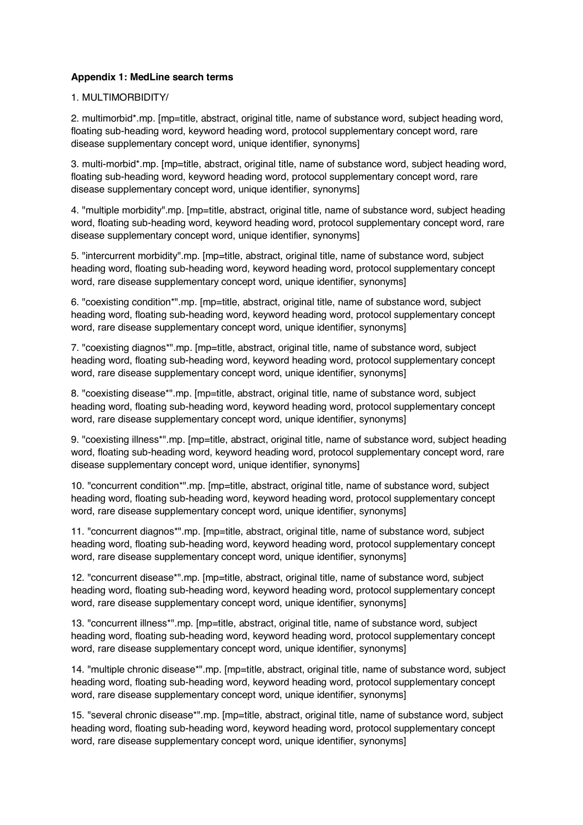## **Appendix 1: MedLine search terms**

## 1. MULTIMORBIDITY/

2. multimorbid\*.mp. [mp=title, abstract, original title, name of substance word, subject heading word, floating sub-heading word, keyword heading word, protocol supplementary concept word, rare disease supplementary concept word, unique identifier, synonyms]

3. multi-morbid\*.mp. [mp=title, abstract, original title, name of substance word, subject heading word, floating sub-heading word, keyword heading word, protocol supplementary concept word, rare disease supplementary concept word, unique identifier, synonyms]

4. "multiple morbidity".mp. [mp=title, abstract, original title, name of substance word, subject heading word, floating sub-heading word, keyword heading word, protocol supplementary concept word, rare disease supplementary concept word, unique identifier, synonyms]

5. "intercurrent morbidity".mp. [mp=title, abstract, original title, name of substance word, subject heading word, floating sub-heading word, keyword heading word, protocol supplementary concept word, rare disease supplementary concept word, unique identifier, synonyms]

6. "coexisting condition\*".mp. [mp=title, abstract, original title, name of substance word, subject heading word, floating sub-heading word, keyword heading word, protocol supplementary concept word, rare disease supplementary concept word, unique identifier, synonyms]

7. "coexisting diagnos\*".mp. [mp=title, abstract, original title, name of substance word, subject heading word, floating sub-heading word, keyword heading word, protocol supplementary concept word, rare disease supplementary concept word, unique identifier, synonyms]

8. "coexisting disease\*".mp. [mp=title, abstract, original title, name of substance word, subject heading word, floating sub-heading word, keyword heading word, protocol supplementary concept word, rare disease supplementary concept word, unique identifier, synonyms]

9. "coexisting illness\*".mp. [mp=title, abstract, original title, name of substance word, subject heading word, floating sub-heading word, keyword heading word, protocol supplementary concept word, rare disease supplementary concept word, unique identifier, synonyms]

10. "concurrent condition\*".mp. [mp=title, abstract, original title, name of substance word, subject heading word, floating sub-heading word, keyword heading word, protocol supplementary concept word, rare disease supplementary concept word, unique identifier, synonyms]

11. "concurrent diagnos\*".mp. [mp=title, abstract, original title, name of substance word, subject heading word, floating sub-heading word, keyword heading word, protocol supplementary concept word, rare disease supplementary concept word, unique identifier, synonyms]

12. "concurrent disease\*".mp. [mp=title, abstract, original title, name of substance word, subject heading word, floating sub-heading word, keyword heading word, protocol supplementary concept word, rare disease supplementary concept word, unique identifier, synonyms]

13. "concurrent illness\*".mp. [mp=title, abstract, original title, name of substance word, subject heading word, floating sub-heading word, keyword heading word, protocol supplementary concept word, rare disease supplementary concept word, unique identifier, synonyms]

14. "multiple chronic disease\*".mp. [mp=title, abstract, original title, name of substance word, subject heading word, floating sub-heading word, keyword heading word, protocol supplementary concept word, rare disease supplementary concept word, unique identifier, synonyms]

15. "several chronic disease\*".mp. [mp=title, abstract, original title, name of substance word, subject heading word, floating sub-heading word, keyword heading word, protocol supplementary concept word, rare disease supplementary concept word, unique identifier, synonyms]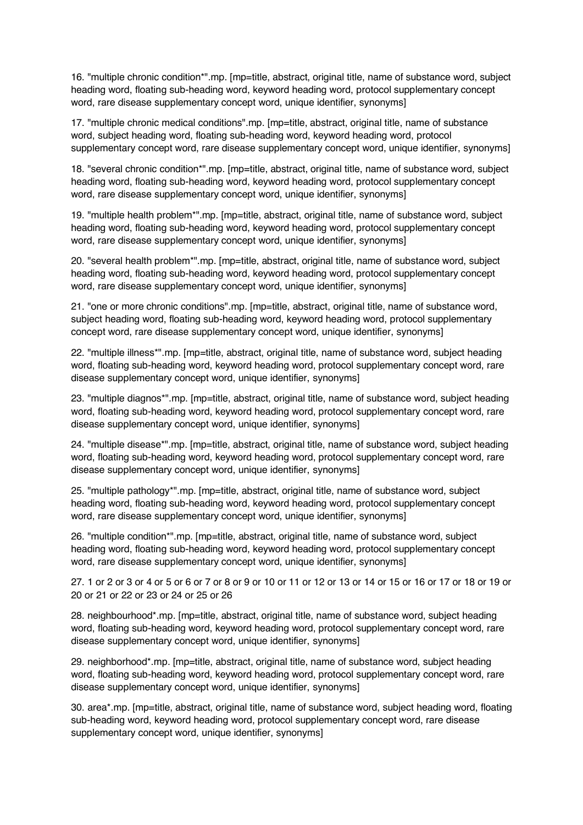16. "multiple chronic condition\*".mp. [mp=title, abstract, original title, name of substance word, subject heading word, floating sub-heading word, keyword heading word, protocol supplementary concept word, rare disease supplementary concept word, unique identifier, synonyms]

17. "multiple chronic medical conditions".mp. [mp=title, abstract, original title, name of substance word, subject heading word, floating sub-heading word, keyword heading word, protocol supplementary concept word, rare disease supplementary concept word, unique identifier, synonyms]

18. "several chronic condition\*".mp. [mp=title, abstract, original title, name of substance word, subject heading word, floating sub-heading word, keyword heading word, protocol supplementary concept word, rare disease supplementary concept word, unique identifier, synonyms]

19. "multiple health problem\*".mp. [mp=title, abstract, original title, name of substance word, subject heading word, floating sub-heading word, keyword heading word, protocol supplementary concept word, rare disease supplementary concept word, unique identifier, synonyms]

20. "several health problem\*".mp. [mp=title, abstract, original title, name of substance word, subject heading word, floating sub-heading word, keyword heading word, protocol supplementary concept word, rare disease supplementary concept word, unique identifier, synonyms]

21. "one or more chronic conditions".mp. [mp=title, abstract, original title, name of substance word, subject heading word, floating sub-heading word, keyword heading word, protocol supplementary concept word, rare disease supplementary concept word, unique identifier, synonyms]

22. "multiple illness\*".mp. [mp=title, abstract, original title, name of substance word, subject heading word, floating sub-heading word, keyword heading word, protocol supplementary concept word, rare disease supplementary concept word, unique identifier, synonyms]

23. "multiple diagnos\*".mp. [mp=title, abstract, original title, name of substance word, subject heading word, floating sub-heading word, keyword heading word, protocol supplementary concept word, rare disease supplementary concept word, unique identifier, synonyms]

24. "multiple disease\*".mp. [mp=title, abstract, original title, name of substance word, subject heading word, floating sub-heading word, keyword heading word, protocol supplementary concept word, rare disease supplementary concept word, unique identifier, synonyms]

25. "multiple pathology\*".mp. [mp=title, abstract, original title, name of substance word, subject heading word, floating sub-heading word, keyword heading word, protocol supplementary concept word, rare disease supplementary concept word, unique identifier, synonyms]

26. "multiple condition\*".mp. [mp=title, abstract, original title, name of substance word, subject heading word, floating sub-heading word, keyword heading word, protocol supplementary concept word, rare disease supplementary concept word, unique identifier, synonyms]

27. 1 or 2 or 3 or 4 or 5 or 6 or 7 or 8 or 9 or 10 or 11 or 12 or 13 or 14 or 15 or 16 or 17 or 18 or 19 or 20 or 21 or 22 or 23 or 24 or 25 or 26

28. neighbourhood\*.mp. [mp=title, abstract, original title, name of substance word, subject heading word, floating sub-heading word, keyword heading word, protocol supplementary concept word, rare disease supplementary concept word, unique identifier, synonyms]

29. neighborhood\*.mp. [mp=title, abstract, original title, name of substance word, subject heading word, floating sub-heading word, keyword heading word, protocol supplementary concept word, rare disease supplementary concept word, unique identifier, synonyms]

30. area\*.mp. [mp=title, abstract, original title, name of substance word, subject heading word, floating sub-heading word, keyword heading word, protocol supplementary concept word, rare disease supplementary concept word, unique identifier, synonyms]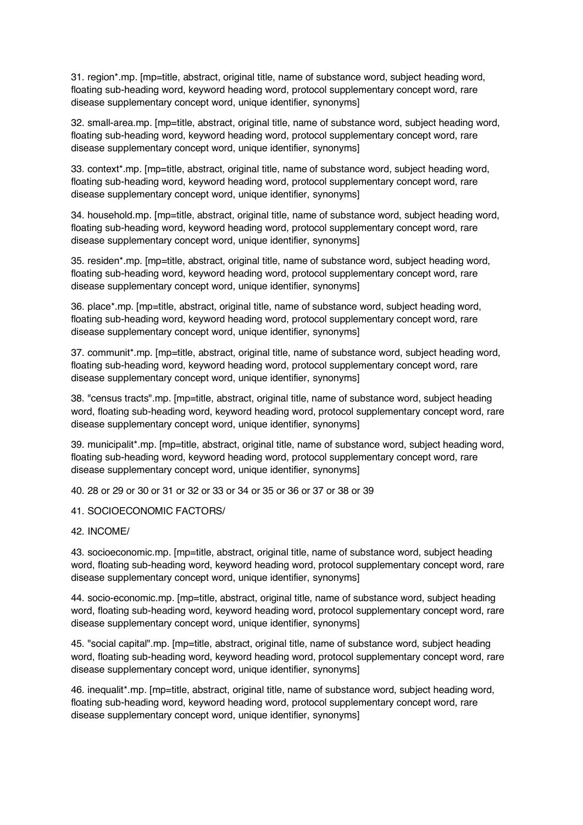31. region\*.mp. [mp=title, abstract, original title, name of substance word, subject heading word, floating sub-heading word, keyword heading word, protocol supplementary concept word, rare disease supplementary concept word, unique identifier, synonyms]

32. small-area.mp. [mp=title, abstract, original title, name of substance word, subject heading word, floating sub-heading word, keyword heading word, protocol supplementary concept word, rare disease supplementary concept word, unique identifier, synonyms]

33. context\*.mp. [mp=title, abstract, original title, name of substance word, subject heading word, floating sub-heading word, keyword heading word, protocol supplementary concept word, rare disease supplementary concept word, unique identifier, synonyms]

34. household.mp. [mp=title, abstract, original title, name of substance word, subject heading word, floating sub-heading word, keyword heading word, protocol supplementary concept word, rare disease supplementary concept word, unique identifier, synonyms]

35. residen\*.mp. [mp=title, abstract, original title, name of substance word, subject heading word, floating sub-heading word, keyword heading word, protocol supplementary concept word, rare disease supplementary concept word, unique identifier, synonyms]

36. place\*.mp. [mp=title, abstract, original title, name of substance word, subject heading word, floating sub-heading word, keyword heading word, protocol supplementary concept word, rare disease supplementary concept word, unique identifier, synonyms]

37. communit\*.mp. [mp=title, abstract, original title, name of substance word, subject heading word, floating sub-heading word, keyword heading word, protocol supplementary concept word, rare disease supplementary concept word, unique identifier, synonyms]

38. "census tracts".mp. [mp=title, abstract, original title, name of substance word, subject heading word, floating sub-heading word, keyword heading word, protocol supplementary concept word, rare disease supplementary concept word, unique identifier, synonyms]

39. municipalit\*.mp. [mp=title, abstract, original title, name of substance word, subject heading word, floating sub-heading word, keyword heading word, protocol supplementary concept word, rare disease supplementary concept word, unique identifier, synonyms]

40. 28 or 29 or 30 or 31 or 32 or 33 or 34 or 35 or 36 or 37 or 38 or 39

## 41. SOCIOECONOMIC FACTORS/

## 42. INCOME/

43. socioeconomic.mp. [mp=title, abstract, original title, name of substance word, subject heading word, floating sub-heading word, keyword heading word, protocol supplementary concept word, rare disease supplementary concept word, unique identifier, synonyms]

44. socio-economic.mp. [mp=title, abstract, original title, name of substance word, subject heading word, floating sub-heading word, keyword heading word, protocol supplementary concept word, rare disease supplementary concept word, unique identifier, synonyms]

45. "social capital".mp. [mp=title, abstract, original title, name of substance word, subject heading word, floating sub-heading word, keyword heading word, protocol supplementary concept word, rare disease supplementary concept word, unique identifier, synonyms]

46. inequalit\*.mp. [mp=title, abstract, original title, name of substance word, subject heading word, floating sub-heading word, keyword heading word, protocol supplementary concept word, rare disease supplementary concept word, unique identifier, synonyms]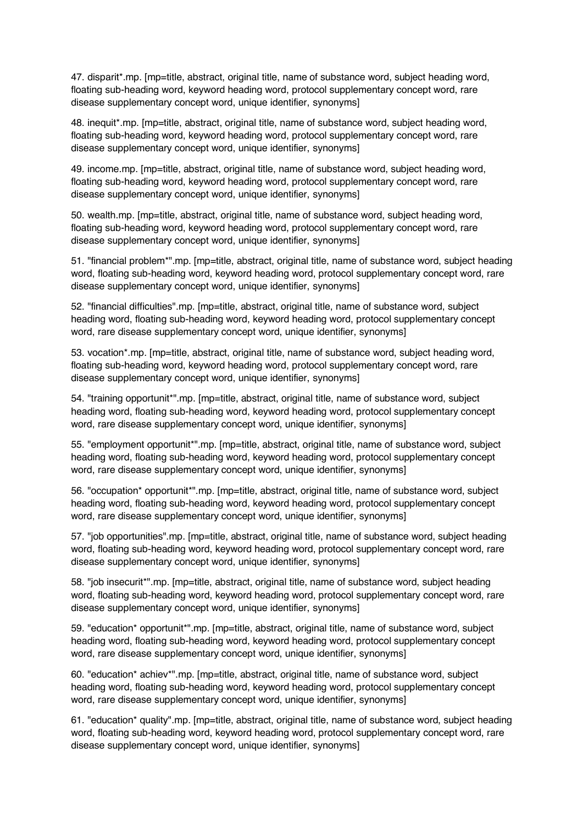47. disparit\*.mp. [mp=title, abstract, original title, name of substance word, subject heading word, floating sub-heading word, keyword heading word, protocol supplementary concept word, rare disease supplementary concept word, unique identifier, synonyms]

48. inequit\*.mp. [mp=title, abstract, original title, name of substance word, subject heading word, floating sub-heading word, keyword heading word, protocol supplementary concept word, rare disease supplementary concept word, unique identifier, synonyms]

49. income.mp. [mp=title, abstract, original title, name of substance word, subject heading word, floating sub-heading word, keyword heading word, protocol supplementary concept word, rare disease supplementary concept word, unique identifier, synonyms]

50. wealth.mp. [mp=title, abstract, original title, name of substance word, subject heading word, floating sub-heading word, keyword heading word, protocol supplementary concept word, rare disease supplementary concept word, unique identifier, synonyms]

51. "financial problem\*".mp. [mp=title, abstract, original title, name of substance word, subject heading word, floating sub-heading word, keyword heading word, protocol supplementary concept word, rare disease supplementary concept word, unique identifier, synonyms]

52. "financial difficulties".mp. [mp=title, abstract, original title, name of substance word, subject heading word, floating sub-heading word, keyword heading word, protocol supplementary concept word, rare disease supplementary concept word, unique identifier, synonyms]

53. vocation\*.mp. [mp=title, abstract, original title, name of substance word, subject heading word, floating sub-heading word, keyword heading word, protocol supplementary concept word, rare disease supplementary concept word, unique identifier, synonyms]

54. "training opportunit\*".mp. [mp=title, abstract, original title, name of substance word, subject heading word, floating sub-heading word, keyword heading word, protocol supplementary concept word, rare disease supplementary concept word, unique identifier, synonyms]

55. "employment opportunit\*".mp. [mp=title, abstract, original title, name of substance word, subject heading word, floating sub-heading word, keyword heading word, protocol supplementary concept word, rare disease supplementary concept word, unique identifier, synonyms]

56. "occupation\* opportunit\*".mp. [mp=title, abstract, original title, name of substance word, subject heading word, floating sub-heading word, keyword heading word, protocol supplementary concept word, rare disease supplementary concept word, unique identifier, synonyms]

57. "job opportunities".mp. [mp=title, abstract, original title, name of substance word, subject heading word, floating sub-heading word, keyword heading word, protocol supplementary concept word, rare disease supplementary concept word, unique identifier, synonyms]

58. "job insecurit\*".mp. [mp=title, abstract, original title, name of substance word, subject heading word, floating sub-heading word, keyword heading word, protocol supplementary concept word, rare disease supplementary concept word, unique identifier, synonyms]

59. "education\* opportunit\*".mp. [mp=title, abstract, original title, name of substance word, subject heading word, floating sub-heading word, keyword heading word, protocol supplementary concept word, rare disease supplementary concept word, unique identifier, synonyms]

60. "education\* achiev\*".mp. [mp=title, abstract, original title, name of substance word, subject heading word, floating sub-heading word, keyword heading word, protocol supplementary concept word, rare disease supplementary concept word, unique identifier, synonyms]

61. "education\* quality".mp. [mp=title, abstract, original title, name of substance word, subject heading word, floating sub-heading word, keyword heading word, protocol supplementary concept word, rare disease supplementary concept word, unique identifier, synonyms]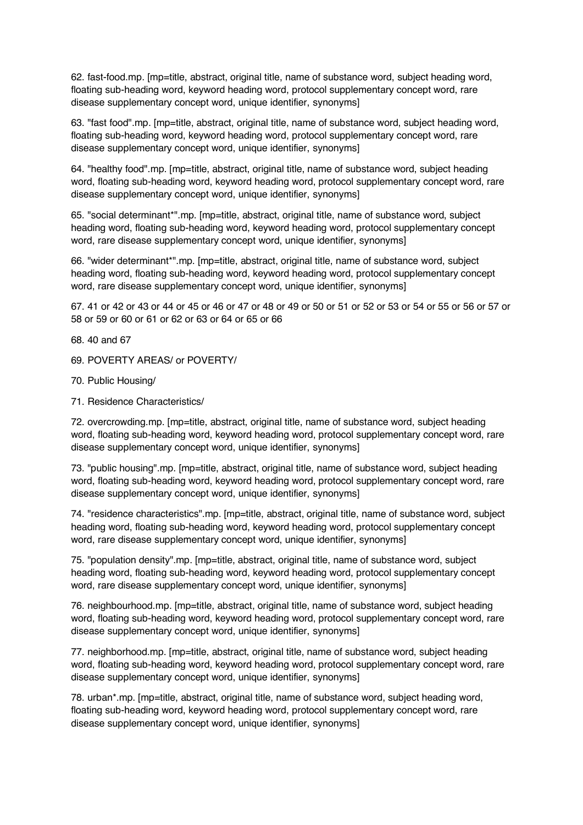62. fast-food.mp. [mp=title, abstract, original title, name of substance word, subject heading word, floating sub-heading word, keyword heading word, protocol supplementary concept word, rare disease supplementary concept word, unique identifier, synonyms]

63. "fast food".mp. [mp=title, abstract, original title, name of substance word, subject heading word, floating sub-heading word, keyword heading word, protocol supplementary concept word, rare disease supplementary concept word, unique identifier, synonyms]

64. "healthy food".mp. [mp=title, abstract, original title, name of substance word, subject heading word, floating sub-heading word, keyword heading word, protocol supplementary concept word, rare disease supplementary concept word, unique identifier, synonyms]

65. "social determinant\*".mp. [mp=title, abstract, original title, name of substance word, subject heading word, floating sub-heading word, keyword heading word, protocol supplementary concept word, rare disease supplementary concept word, unique identifier, synonyms]

66. "wider determinant\*".mp. [mp=title, abstract, original title, name of substance word, subject heading word, floating sub-heading word, keyword heading word, protocol supplementary concept word, rare disease supplementary concept word, unique identifier, synonyms]

67. 41 or 42 or 43 or 44 or 45 or 46 or 47 or 48 or 49 or 50 or 51 or 52 or 53 or 54 or 55 or 56 or 57 or 58 or 59 or 60 or 61 or 62 or 63 or 64 or 65 or 66

68. 40 and 67

- 69. POVERTY AREAS/ or POVERTY/
- 70. Public Housing/
- 71. Residence Characteristics/

72. overcrowding.mp. [mp=title, abstract, original title, name of substance word, subject heading word, floating sub-heading word, keyword heading word, protocol supplementary concept word, rare disease supplementary concept word, unique identifier, synonyms]

73. "public housing".mp. [mp=title, abstract, original title, name of substance word, subject heading word, floating sub-heading word, keyword heading word, protocol supplementary concept word, rare disease supplementary concept word, unique identifier, synonyms]

74. "residence characteristics".mp. [mp=title, abstract, original title, name of substance word, subject heading word, floating sub-heading word, keyword heading word, protocol supplementary concept word, rare disease supplementary concept word, unique identifier, synonyms]

75. "population density".mp. [mp=title, abstract, original title, name of substance word, subject heading word, floating sub-heading word, keyword heading word, protocol supplementary concept word, rare disease supplementary concept word, unique identifier, synonymsl

76. neighbourhood.mp. [mp=title, abstract, original title, name of substance word, subject heading word, floating sub-heading word, keyword heading word, protocol supplementary concept word, rare disease supplementary concept word, unique identifier, synonyms]

77. neighborhood.mp. [mp=title, abstract, original title, name of substance word, subject heading word, floating sub-heading word, keyword heading word, protocol supplementary concept word, rare disease supplementary concept word, unique identifier, synonyms]

78. urban\*.mp. [mp=title, abstract, original title, name of substance word, subject heading word, floating sub-heading word, keyword heading word, protocol supplementary concept word, rare disease supplementary concept word, unique identifier, synonyms]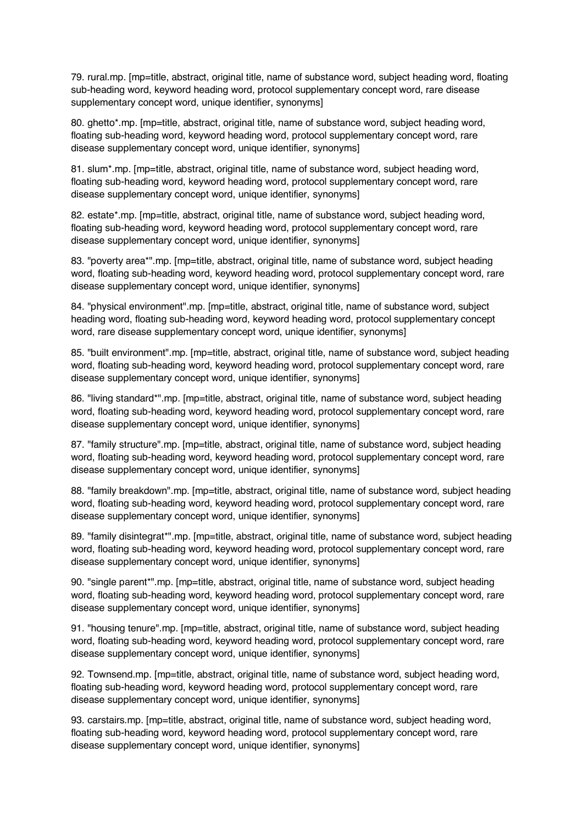79. rural.mp. [mp=title, abstract, original title, name of substance word, subject heading word, floating sub-heading word, keyword heading word, protocol supplementary concept word, rare disease supplementary concept word, unique identifier, synonyms]

80. ghetto\*.mp. [mp=title, abstract, original title, name of substance word, subject heading word, floating sub-heading word, keyword heading word, protocol supplementary concept word, rare disease supplementary concept word, unique identifier, synonyms]

81. slum\*.mp. [mp=title, abstract, original title, name of substance word, subject heading word, floating sub-heading word, keyword heading word, protocol supplementary concept word, rare disease supplementary concept word, unique identifier, synonyms]

82. estate\*.mp. [mp=title, abstract, original title, name of substance word, subject heading word, floating sub-heading word, keyword heading word, protocol supplementary concept word, rare disease supplementary concept word, unique identifier, synonyms]

83. "poverty area\*".mp. [mp=title, abstract, original title, name of substance word, subject heading word, floating sub-heading word, keyword heading word, protocol supplementary concept word, rare disease supplementary concept word, unique identifier, synonyms]

84. "physical environment".mp. [mp=title, abstract, original title, name of substance word, subject heading word, floating sub-heading word, keyword heading word, protocol supplementary concept word, rare disease supplementary concept word, unique identifier, synonyms]

85. "built environment".mp. [mp=title, abstract, original title, name of substance word, subject heading word, floating sub-heading word, keyword heading word, protocol supplementary concept word, rare disease supplementary concept word, unique identifier, synonyms]

86. "living standard\*".mp. [mp=title, abstract, original title, name of substance word, subject heading word, floating sub-heading word, keyword heading word, protocol supplementary concept word, rare disease supplementary concept word, unique identifier, synonyms]

87. "family structure".mp. [mp=title, abstract, original title, name of substance word, subject heading word, floating sub-heading word, keyword heading word, protocol supplementary concept word, rare disease supplementary concept word, unique identifier, synonyms]

88. "family breakdown".mp. [mp=title, abstract, original title, name of substance word, subject heading word, floating sub-heading word, keyword heading word, protocol supplementary concept word, rare disease supplementary concept word, unique identifier, synonyms]

89. "family disintegrat\*".mp. [mp=title, abstract, original title, name of substance word, subject heading word, floating sub-heading word, keyword heading word, protocol supplementary concept word, rare disease supplementary concept word, unique identifier, synonyms]

90. "single parent\*".mp. [mp=title, abstract, original title, name of substance word, subject heading word, floating sub-heading word, keyword heading word, protocol supplementary concept word, rare disease supplementary concept word, unique identifier, synonyms]

91. "housing tenure".mp. [mp=title, abstract, original title, name of substance word, subject heading word, floating sub-heading word, keyword heading word, protocol supplementary concept word, rare disease supplementary concept word, unique identifier, synonyms]

92. Townsend.mp. [mp=title, abstract, original title, name of substance word, subject heading word, floating sub-heading word, keyword heading word, protocol supplementary concept word, rare disease supplementary concept word, unique identifier, synonyms]

93. carstairs.mp. [mp=title, abstract, original title, name of substance word, subject heading word, floating sub-heading word, keyword heading word, protocol supplementary concept word, rare disease supplementary concept word, unique identifier, synonyms]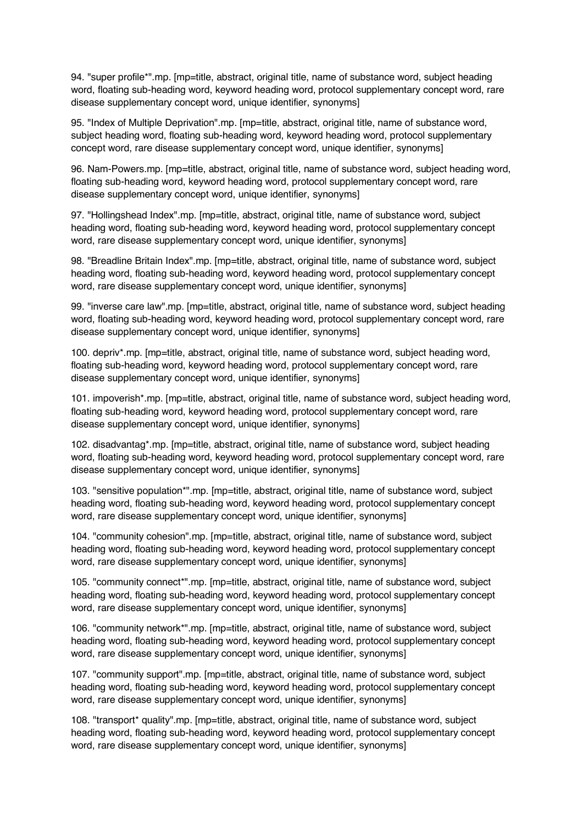94. "super profile\*".mp. [mp=title, abstract, original title, name of substance word, subject heading word, floating sub-heading word, keyword heading word, protocol supplementary concept word, rare disease supplementary concept word, unique identifier, synonyms]

95. "Index of Multiple Deprivation".mp. [mp=title, abstract, original title, name of substance word, subject heading word, floating sub-heading word, keyword heading word, protocol supplementary concept word, rare disease supplementary concept word, unique identifier, synonyms]

96. Nam-Powers.mp. [mp=title, abstract, original title, name of substance word, subject heading word, floating sub-heading word, keyword heading word, protocol supplementary concept word, rare disease supplementary concept word, unique identifier, synonyms]

97. "Hollingshead Index".mp. [mp=title, abstract, original title, name of substance word, subject heading word, floating sub-heading word, keyword heading word, protocol supplementary concept word, rare disease supplementary concept word, unique identifier, synonyms]

98. "Breadline Britain Index".mp. [mp=title, abstract, original title, name of substance word, subject heading word, floating sub-heading word, keyword heading word, protocol supplementary concept word, rare disease supplementary concept word, unique identifier, synonyms]

99. "inverse care law".mp. [mp=title, abstract, original title, name of substance word, subject heading word, floating sub-heading word, keyword heading word, protocol supplementary concept word, rare disease supplementary concept word, unique identifier, synonyms]

100. depriv\*.mp. [mp=title, abstract, original title, name of substance word, subject heading word, floating sub-heading word, keyword heading word, protocol supplementary concept word, rare disease supplementary concept word, unique identifier, synonyms]

101. impoverish\*.mp. [mp=title, abstract, original title, name of substance word, subject heading word, floating sub-heading word, keyword heading word, protocol supplementary concept word, rare disease supplementary concept word, unique identifier, synonyms]

102. disadvantag\*.mp. [mp=title, abstract, original title, name of substance word, subject heading word, floating sub-heading word, keyword heading word, protocol supplementary concept word, rare disease supplementary concept word, unique identifier, synonyms]

103. "sensitive population\*".mp. [mp=title, abstract, original title, name of substance word, subject heading word, floating sub-heading word, keyword heading word, protocol supplementary concept word, rare disease supplementary concept word, unique identifier, synonyms]

104. "community cohesion".mp. [mp=title, abstract, original title, name of substance word, subject heading word, floating sub-heading word, keyword heading word, protocol supplementary concept word, rare disease supplementary concept word, unique identifier, synonyms]

105. "community connect\*".mp. [mp=title, abstract, original title, name of substance word, subject heading word, floating sub-heading word, keyword heading word, protocol supplementary concept word, rare disease supplementary concept word, unique identifier, synonyms]

106. "community network\*".mp. [mp=title, abstract, original title, name of substance word, subject heading word, floating sub-heading word, keyword heading word, protocol supplementary concept word, rare disease supplementary concept word, unique identifier, synonyms]

107. "community support".mp. [mp=title, abstract, original title, name of substance word, subject heading word, floating sub-heading word, keyword heading word, protocol supplementary concept word, rare disease supplementary concept word, unique identifier, synonyms]

108. "transport\* quality".mp. [mp=title, abstract, original title, name of substance word, subject heading word, floating sub-heading word, keyword heading word, protocol supplementary concept word, rare disease supplementary concept word, unique identifier, synonymsl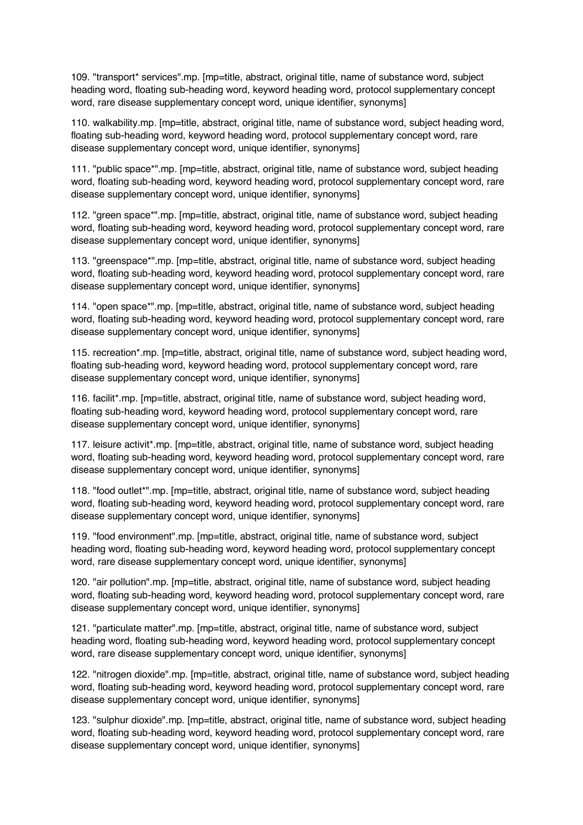109. "transport\* services".mp. [mp=title, abstract, original title, name of substance word, subject heading word, floating sub-heading word, keyword heading word, protocol supplementary concept word, rare disease supplementary concept word, unique identifier, synonyms]

110. walkability.mp. [mp=title, abstract, original title, name of substance word, subject heading word, floating sub-heading word, keyword heading word, protocol supplementary concept word, rare disease supplementary concept word, unique identifier, synonyms]

111. "public space\*".mp. [mp=title, abstract, original title, name of substance word, subject heading word, floating sub-heading word, keyword heading word, protocol supplementary concept word, rare disease supplementary concept word, unique identifier, synonyms]

112. "green space\*".mp. [mp=title, abstract, original title, name of substance word, subject heading word, floating sub-heading word, keyword heading word, protocol supplementary concept word, rare disease supplementary concept word, unique identifier, synonyms]

113. "greenspace\*".mp. [mp=title, abstract, original title, name of substance word, subject heading word, floating sub-heading word, keyword heading word, protocol supplementary concept word, rare disease supplementary concept word, unique identifier, synonyms]

114. "open space\*".mp. [mp=title, abstract, original title, name of substance word, subject heading word, floating sub-heading word, keyword heading word, protocol supplementary concept word, rare disease supplementary concept word, unique identifier, synonyms]

115. recreation\*.mp. [mp=title, abstract, original title, name of substance word, subject heading word, floating sub-heading word, keyword heading word, protocol supplementary concept word, rare disease supplementary concept word, unique identifier, synonyms]

116. facilit\*.mp. [mp=title, abstract, original title, name of substance word, subject heading word, floating sub-heading word, keyword heading word, protocol supplementary concept word, rare disease supplementary concept word, unique identifier, synonyms]

117. leisure activit\*.mp. [mp=title, abstract, original title, name of substance word, subject heading word, floating sub-heading word, keyword heading word, protocol supplementary concept word, rare disease supplementary concept word, unique identifier, synonyms]

118. "food outlet\*".mp. [mp=title, abstract, original title, name of substance word, subject heading word, floating sub-heading word, keyword heading word, protocol supplementary concept word, rare disease supplementary concept word, unique identifier, synonyms]

119. "food environment".mp. [mp=title, abstract, original title, name of substance word, subject heading word, floating sub-heading word, keyword heading word, protocol supplementary concept word, rare disease supplementary concept word, unique identifier, synonyms]

120. "air pollution".mp. [mp=title, abstract, original title, name of substance word, subject heading word, floating sub-heading word, keyword heading word, protocol supplementary concept word, rare disease supplementary concept word, unique identifier, synonyms]

121. "particulate matter".mp. [mp=title, abstract, original title, name of substance word, subject heading word, floating sub-heading word, keyword heading word, protocol supplementary concept word, rare disease supplementary concept word, unique identifier, synonyms]

122. "nitrogen dioxide".mp. [mp=title, abstract, original title, name of substance word, subject heading word, floating sub-heading word, keyword heading word, protocol supplementary concept word, rare disease supplementary concept word, unique identifier, synonyms]

123. "sulphur dioxide".mp. [mp=title, abstract, original title, name of substance word, subject heading word, floating sub-heading word, keyword heading word, protocol supplementary concept word, rare disease supplementary concept word, unique identifier, synonyms]